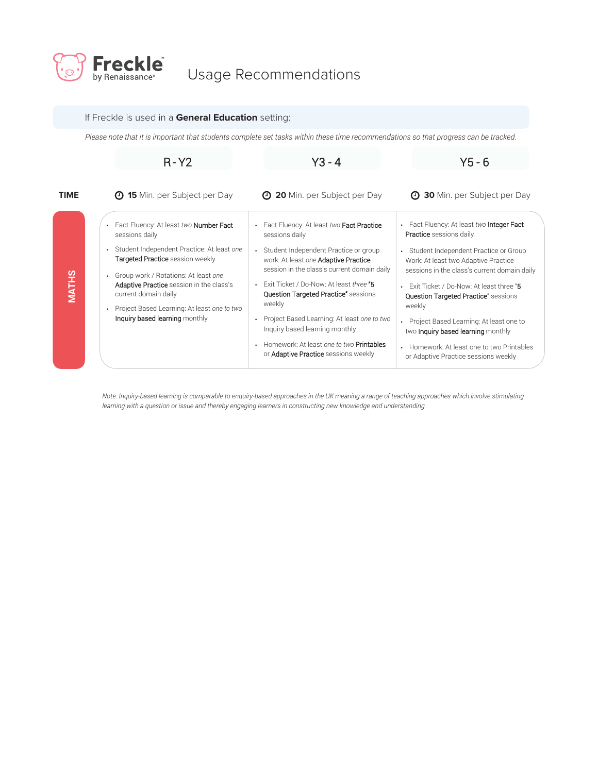

## Usage Recommendations

## If Freckle is used in a **General Education** setting:

*Please note that it is important that students complete set tasks within these time recommendations so that progress can be tracked.*

|              | $R - Y2$                                                                                                                                                       | $Y3 - 4$                                                                                                                     | $Y5 - 6$                                                                                                                                   |
|--------------|----------------------------------------------------------------------------------------------------------------------------------------------------------------|------------------------------------------------------------------------------------------------------------------------------|--------------------------------------------------------------------------------------------------------------------------------------------|
| <b>TIME</b>  | <b>15</b> Min. per Subject per Day<br>$\Theta$                                                                                                                 | <b>4 20</b> Min. per Subject per Day                                                                                         | <b>4 30</b> Min. per Subject per Day                                                                                                       |
| <b>MATHS</b> | • Fact Fluency: At least two <b>Number Fact</b><br>sessions daily                                                                                              | Fact Fluency: At least two Fact Practice<br>sessions daily                                                                   | • Fact Fluency: At least two Integer Fact<br><b>Practice</b> sessions daily                                                                |
|              | Student Independent Practice: At least one<br>$\bullet$<br>Targeted Practice session weekly<br>Group work / Rotations: At least one<br>$\bullet$               | Student Independent Practice or group<br>work: At least one Adaptive Practice<br>session in the class's current domain daily | Student Independent Practice or Group<br>$\bullet$<br>Work: At least two Adaptive Practice<br>sessions in the class's current domain daily |
|              | Adaptive Practice session in the class's<br>current domain daily<br>Project Based Learning: At least one to two<br>$\bullet$<br>Inquiry based learning monthly | Exit Ticket / Do-Now: At least three "5<br><b>Question Targeted Practice"</b> sessions<br>weekly                             | Exit Ticket / Do-Now: At least three "5<br><b>Question Targeted Practice"</b> sessions<br>weekly                                           |
|              |                                                                                                                                                                | Project Based Learning: At least one to two<br>Inquiry based learning monthly                                                | Project Based Learning: At least one to<br>two <b>Inquiry based learning</b> monthly                                                       |
|              |                                                                                                                                                                | Homework: At least one to two <b>Printables</b><br>$\bullet$<br>or <b>Adaptive Practice</b> sessions weekly                  | • Homework: At least one to two Printables<br>or Adaptive Practice sessions weekly                                                         |

Note: Inquiry-based learning is comparable to enquiry-based approaches in the UK meaning a range of teaching approaches which involve stimulating<br>learning with a question or issue and thereby engaging learners in construct